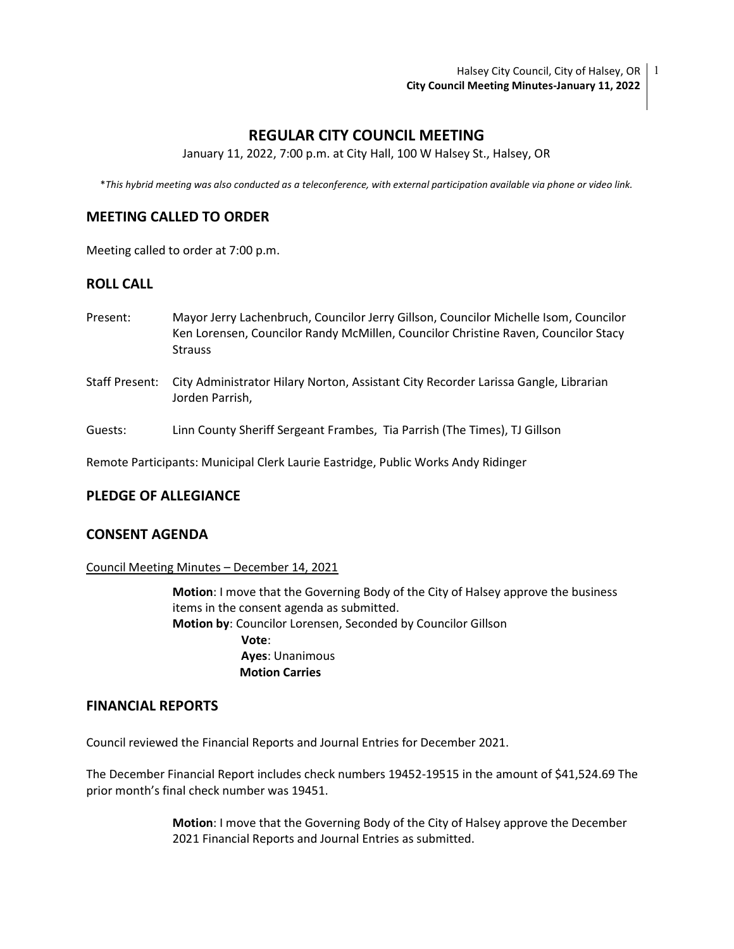Halsey City Council, City of Halsey, OR 1 City Council Meeting Minutes-January 11, 2022

# REGULAR CITY COUNCIL MEETING

January 11, 2022, 7:00 p.m. at City Hall, 100 W Halsey St., Halsey, OR

\*This hybrid meeting was also conducted as a teleconference, with external participation available via phone or video link.

# MEETING CALLED TO ORDER

Meeting called to order at 7:00 p.m.

## ROLL CALL

- Present: Mayor Jerry Lachenbruch, Councilor Jerry Gillson, Councilor Michelle Isom, Councilor Ken Lorensen, Councilor Randy McMillen, Councilor Christine Raven, Councilor Stacy Strauss
- Staff Present: City Administrator Hilary Norton, Assistant City Recorder Larissa Gangle, Librarian Jorden Parrish,
- Guests: Linn County Sheriff Sergeant Frambes, Tia Parrish (The Times), TJ Gillson

Remote Participants: Municipal Clerk Laurie Eastridge, Public Works Andy Ridinger

## PLEDGE OF ALLEGIANCE

## CONSENT AGENDA

Council Meeting Minutes – December 14, 2021

Motion: I move that the Governing Body of the City of Halsey approve the business items in the consent agenda as submitted. Motion by: Councilor Lorensen, Seconded by Councilor Gillson Vote: Ayes: Unanimous Motion Carries

### FINANCIAL REPORTS

Council reviewed the Financial Reports and Journal Entries for December 2021.

The December Financial Report includes check numbers 19452-19515 in the amount of \$41,524.69 The prior month's final check number was 19451.

> Motion: I move that the Governing Body of the City of Halsey approve the December 2021 Financial Reports and Journal Entries as submitted.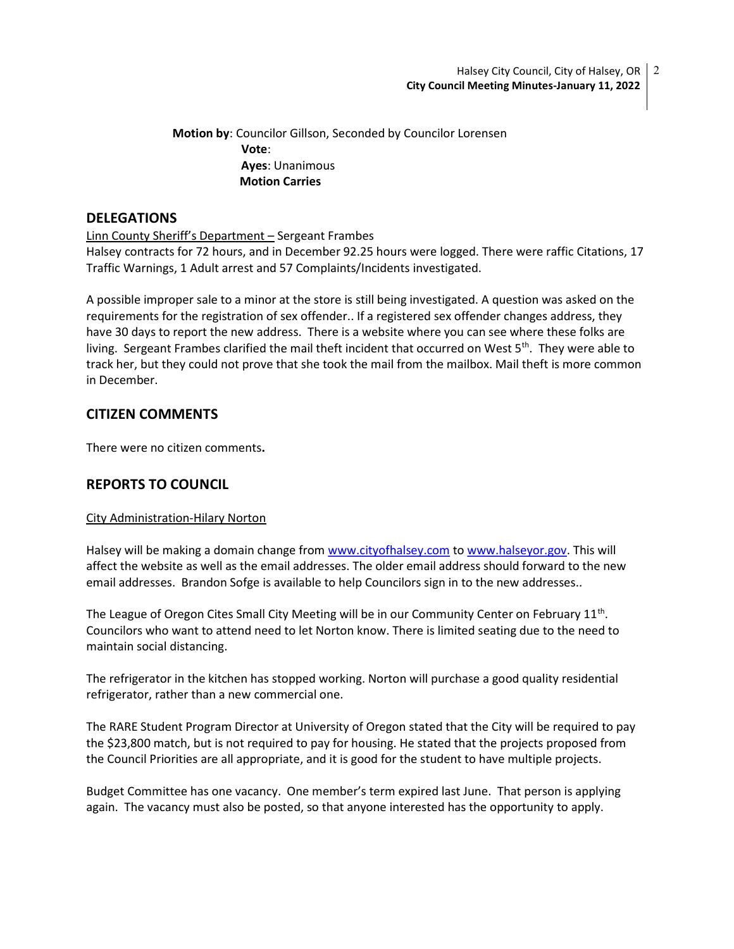Motion by: Councilor Gillson, Seconded by Councilor Lorensen Vote: Ayes: Unanimous Motion Carries

# **DELEGATIONS**

Linn County Sheriff's Department – Sergeant Frambes

Halsey contracts for 72 hours, and in December 92.25 hours were logged. There were raffic Citations, 17 Traffic Warnings, 1 Adult arrest and 57 Complaints/Incidents investigated.

A possible improper sale to a minor at the store is still being investigated. A question was asked on the requirements for the registration of sex offender.. If a registered sex offender changes address, they have 30 days to report the new address. There is a website where you can see where these folks are living. Sergeant Frambes clarified the mail theft incident that occurred on West 5<sup>th</sup>. They were able to track her, but they could not prove that she took the mail from the mailbox. Mail theft is more common in December.

# CITIZEN COMMENTS

There were no citizen comments.

# REPORTS TO COUNCIL

## City Administration-Hilary Norton

Halsey will be making a domain change from www.cityofhalsey.com to www.halseyor.gov. This will affect the website as well as the email addresses. The older email address should forward to the new email addresses. Brandon Sofge is available to help Councilors sign in to the new addresses..

The League of Oregon Cites Small City Meeting will be in our Community Center on February  $11<sup>th</sup>$ . Councilors who want to attend need to let Norton know. There is limited seating due to the need to maintain social distancing.

The refrigerator in the kitchen has stopped working. Norton will purchase a good quality residential refrigerator, rather than a new commercial one.

The RARE Student Program Director at University of Oregon stated that the City will be required to pay the \$23,800 match, but is not required to pay for housing. He stated that the projects proposed from the Council Priorities are all appropriate, and it is good for the student to have multiple projects.

Budget Committee has one vacancy. One member's term expired last June. That person is applying again. The vacancy must also be posted, so that anyone interested has the opportunity to apply.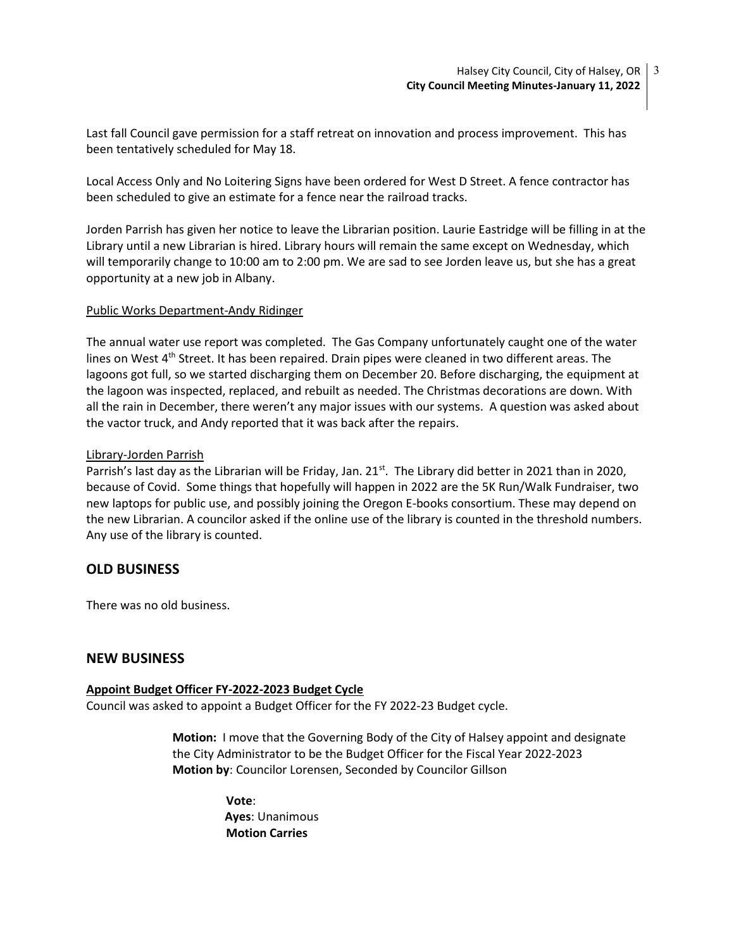Last fall Council gave permission for a staff retreat on innovation and process improvement. This has been tentatively scheduled for May 18.

Local Access Only and No Loitering Signs have been ordered for West D Street. A fence contractor has been scheduled to give an estimate for a fence near the railroad tracks.

Jorden Parrish has given her notice to leave the Librarian position. Laurie Eastridge will be filling in at the Library until a new Librarian is hired. Library hours will remain the same except on Wednesday, which will temporarily change to 10:00 am to 2:00 pm. We are sad to see Jorden leave us, but she has a great opportunity at a new job in Albany.

## Public Works Department-Andy Ridinger

The annual water use report was completed. The Gas Company unfortunately caught one of the water lines on West 4<sup>th</sup> Street. It has been repaired. Drain pipes were cleaned in two different areas. The lagoons got full, so we started discharging them on December 20. Before discharging, the equipment at the lagoon was inspected, replaced, and rebuilt as needed. The Christmas decorations are down. With all the rain in December, there weren't any major issues with our systems. A question was asked about the vactor truck, and Andy reported that it was back after the repairs.

### Library-Jorden Parrish

Parrish's last day as the Librarian will be Friday, Jan.  $21^{st}$ . The Library did better in 2021 than in 2020, because of Covid. Some things that hopefully will happen in 2022 are the 5K Run/Walk Fundraiser, two new laptops for public use, and possibly joining the Oregon E-books consortium. These may depend on the new Librarian. A councilor asked if the online use of the library is counted in the threshold numbers. Any use of the library is counted.

# OLD BUSINESS

There was no old business.

## NEW BUSINESS

#### Appoint Budget Officer FY-2022-2023 Budget Cycle

Council was asked to appoint a Budget Officer for the FY 2022-23 Budget cycle.

Motion: I move that the Governing Body of the City of Halsey appoint and designate the City Administrator to be the Budget Officer for the Fiscal Year 2022-2023 Motion by: Councilor Lorensen, Seconded by Councilor Gillson

> Vote: Ayes: Unanimous Motion Carries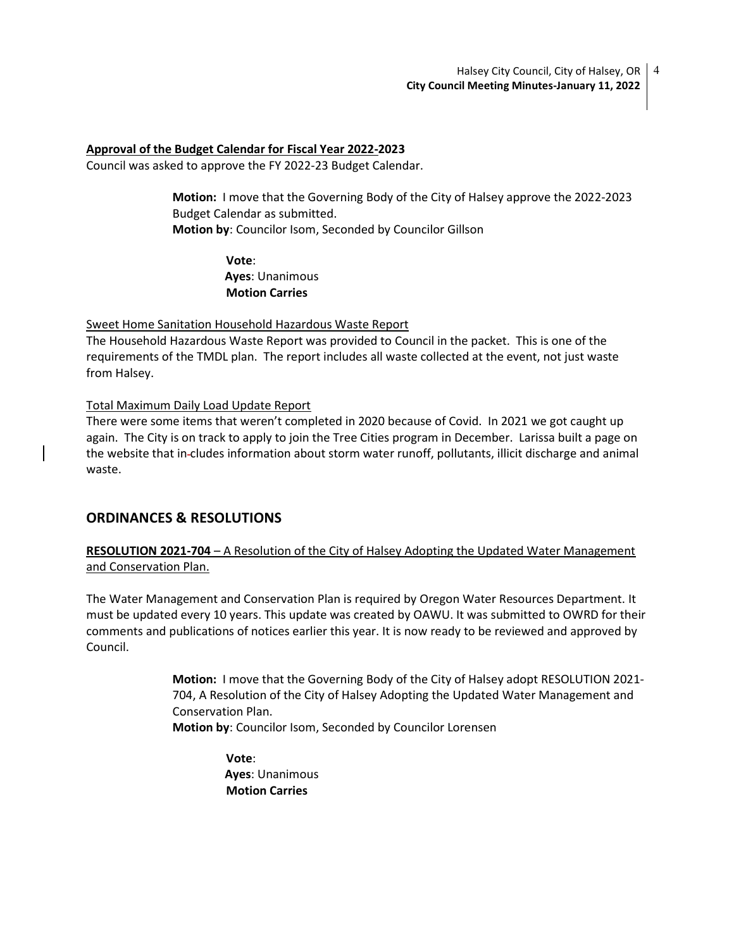### Approval of the Budget Calendar for Fiscal Year 2022-2023

Council was asked to approve the FY 2022-23 Budget Calendar.

Motion: I move that the Governing Body of the City of Halsey approve the 2022-2023 Budget Calendar as submitted. Motion by: Councilor Isom, Seconded by Councilor Gillson

> Vote: Ayes: Unanimous Motion Carries

### Sweet Home Sanitation Household Hazardous Waste Report

The Household Hazardous Waste Report was provided to Council in the packet. This is one of the requirements of the TMDL plan. The report includes all waste collected at the event, not just waste from Halsey.

### Total Maximum Daily Load Update Report

There were some items that weren't completed in 2020 because of Covid. In 2021 we got caught up again. The City is on track to apply to join the Tree Cities program in December. Larissa built a page on the website that in cludes information about storm water runoff, pollutants, illicit discharge and animal waste.

# ORDINANCES & RESOLUTIONS

RESOLUTION 2021-704 – A Resolution of the City of Halsey Adopting the Updated Water Management and Conservation Plan.

The Water Management and Conservation Plan is required by Oregon Water Resources Department. It must be updated every 10 years. This update was created by OAWU. It was submitted to OWRD for their comments and publications of notices earlier this year. It is now ready to be reviewed and approved by Council.

> Motion: I move that the Governing Body of the City of Halsey adopt RESOLUTION 2021- 704, A Resolution of the City of Halsey Adopting the Updated Water Management and Conservation Plan. Motion by: Councilor Isom, Seconded by Councilor Lorensen

> > Vote: Ayes: Unanimous Motion Carries